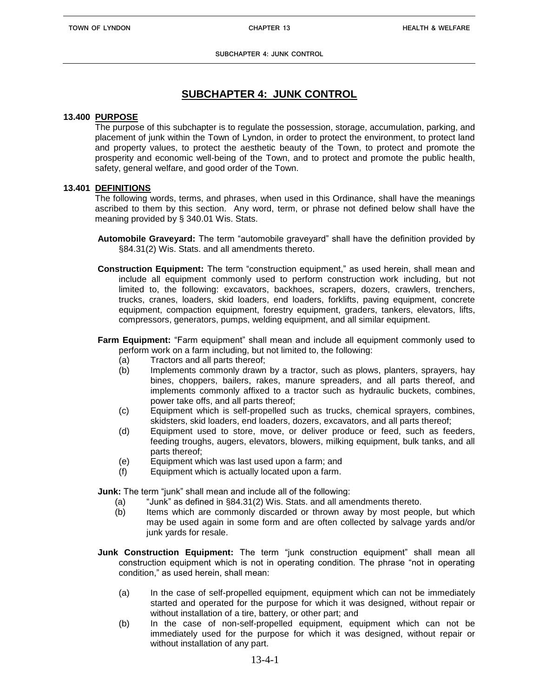**SUBCHAPTER 4: JUNK CONTROL**

# **SUBCHAPTER 4: JUNK CONTROL**

#### **13.400 PURPOSE**

The purpose of this subchapter is to regulate the possession, storage, accumulation, parking, and placement of junk within the Town of Lyndon, in order to protect the environment, to protect land and property values, to protect the aesthetic beauty of the Town, to protect and promote the prosperity and economic well-being of the Town, and to protect and promote the public health, safety, general welfare, and good order of the Town.

# **13.401 DEFINITIONS**

The following words, terms, and phrases, when used in this Ordinance, shall have the meanings ascribed to them by this section. Any word, term, or phrase not defined below shall have the meaning provided by § 340.01 Wis. Stats.

- **Automobile Graveyard:** The term "automobile graveyard" shall have the definition provided by §84.31(2) Wis. Stats. and all amendments thereto.
- **Construction Equipment:** The term "construction equipment," as used herein, shall mean and include all equipment commonly used to perform construction work including, but not limited to, the following: excavators, backhoes, scrapers, dozers, crawlers, trenchers, trucks, cranes, loaders, skid loaders, end loaders, forklifts, paving equipment, concrete equipment, compaction equipment, forestry equipment, graders, tankers, elevators, lifts, compressors, generators, pumps, welding equipment, and all similar equipment.
- **Farm Equipment:** "Farm equipment" shall mean and include all equipment commonly used to perform work on a farm including, but not limited to, the following:
	- (a) Tractors and all parts thereof;
	- (b) Implements commonly drawn by a tractor, such as plows, planters, sprayers, hay bines, choppers, bailers, rakes, manure spreaders, and all parts thereof, and implements commonly affixed to a tractor such as hydraulic buckets, combines, power take offs, and all parts thereof;
	- (c) Equipment which is self-propelled such as trucks, chemical sprayers, combines, skidsters, skid loaders, end loaders, dozers, excavators, and all parts thereof;
	- (d) Equipment used to store, move, or deliver produce or feed, such as feeders, feeding troughs, augers, elevators, blowers, milking equipment, bulk tanks, and all parts thereof;
	- (e) Equipment which was last used upon a farm; and
	- (f) Equipment which is actually located upon a farm.

**Junk:** The term "junk" shall mean and include all of the following:

- (a) "Junk" as defined in §84.31(2) Wis. Stats. and all amendments thereto.
- (b) Items which are commonly discarded or thrown away by most people, but which may be used again in some form and are often collected by salvage yards and/or junk yards for resale.
- **Junk Construction Equipment:** The term "junk construction equipment" shall mean all construction equipment which is not in operating condition. The phrase "not in operating condition," as used herein, shall mean:
	- (a) In the case of self-propelled equipment, equipment which can not be immediately started and operated for the purpose for which it was designed, without repair or without installation of a tire, battery, or other part; and
	- (b) In the case of non-self-propelled equipment, equipment which can not be immediately used for the purpose for which it was designed, without repair or without installation of any part.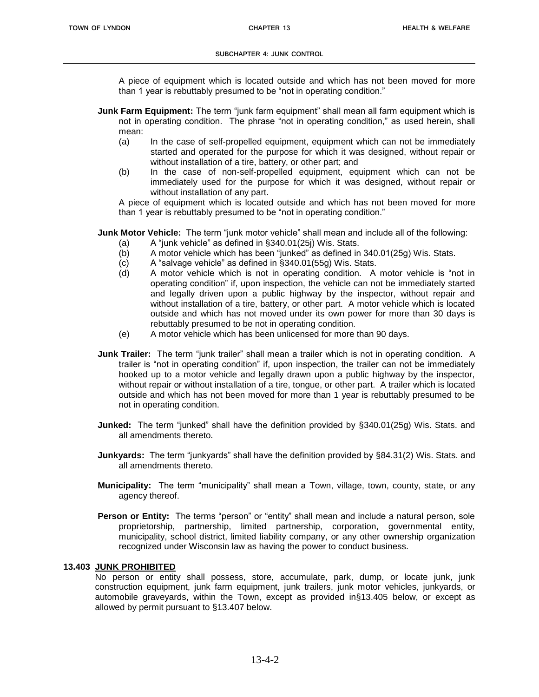A piece of equipment which is located outside and which has not been moved for more than 1 year is rebuttably presumed to be "not in operating condition."

- **Junk Farm Equipment:** The term "junk farm equipment" shall mean all farm equipment which is not in operating condition. The phrase "not in operating condition," as used herein, shall mean:
	- (a) In the case of self-propelled equipment, equipment which can not be immediately started and operated for the purpose for which it was designed, without repair or without installation of a tire, battery, or other part; and
	- (b) In the case of non-self-propelled equipment, equipment which can not be immediately used for the purpose for which it was designed, without repair or without installation of any part.

A piece of equipment which is located outside and which has not been moved for more than 1 year is rebuttably presumed to be "not in operating condition."

**Junk Motor Vehicle:** The term "junk motor vehicle" shall mean and include all of the following:

- (a) A "junk vehicle" as defined in §340.01(25j) Wis. Stats.
- (b) A motor vehicle which has been "junked" as defined in 340.01(25g) Wis. Stats.
- (c) A "salvage vehicle" as defined in §340.01(55g) Wis. Stats.
- (d) A motor vehicle which is not in operating condition. A motor vehicle is "not in operating condition" if, upon inspection, the vehicle can not be immediately started and legally driven upon a public highway by the inspector, without repair and without installation of a tire, battery, or other part. A motor vehicle which is located outside and which has not moved under its own power for more than 30 days is rebuttably presumed to be not in operating condition.
- (e) A motor vehicle which has been unlicensed for more than 90 days.
- **Junk Trailer:** The term "junk trailer" shall mean a trailer which is not in operating condition. A trailer is "not in operating condition" if, upon inspection, the trailer can not be immediately hooked up to a motor vehicle and legally drawn upon a public highway by the inspector, without repair or without installation of a tire, tongue, or other part. A trailer which is located outside and which has not been moved for more than 1 year is rebuttably presumed to be not in operating condition.
- **Junked:** The term "junked" shall have the definition provided by §340.01(25g) Wis. Stats. and all amendments thereto.
- **Junkyards:** The term "junkyards" shall have the definition provided by §84.31(2) Wis. Stats. and all amendments thereto.
- **Municipality:** The term "municipality" shall mean a Town, village, town, county, state, or any agency thereof.
- **Person or Entity:** The terms "person" or "entity" shall mean and include a natural person, sole proprietorship, partnership, limited partnership, corporation, governmental entity, municipality, school district, limited liability company, or any other ownership organization recognized under Wisconsin law as having the power to conduct business.

# **13.403 JUNK PROHIBITED**

No person or entity shall possess, store, accumulate, park, dump, or locate junk, junk construction equipment, junk farm equipment, junk trailers, junk motor vehicles, junkyards, or automobile graveyards, within the Town, except as provided in§13.405 below, or except as allowed by permit pursuant to §13.407 below.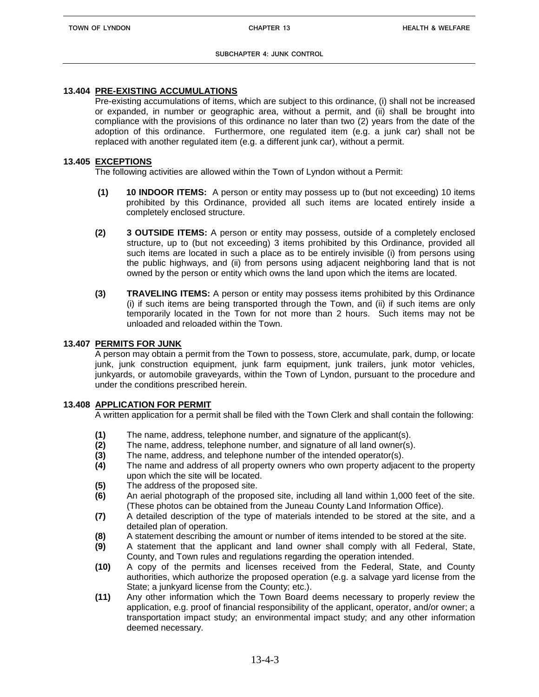# **13.404 PRE-EXISTING ACCUMULATIONS**

Pre-existing accumulations of items, which are subject to this ordinance, (i) shall not be increased or expanded, in number or geographic area, without a permit, and (ii) shall be brought into compliance with the provisions of this ordinance no later than two (2) years from the date of the adoption of this ordinance. Furthermore, one regulated item (e.g. a junk car) shall not be replaced with another regulated item (e.g. a different junk car), without a permit.

# **13.405 EXCEPTIONS**

The following activities are allowed within the Town of Lyndon without a Permit:

- **(1) 10 INDOOR ITEMS:** A person or entity may possess up to (but not exceeding) 10 items prohibited by this Ordinance, provided all such items are located entirely inside a completely enclosed structure.
- **(2) 3 OUTSIDE ITEMS:** A person or entity may possess, outside of a completely enclosed structure, up to (but not exceeding) 3 items prohibited by this Ordinance, provided all such items are located in such a place as to be entirely invisible (i) from persons using the public highways, and (ii) from persons using adjacent neighboring land that is not owned by the person or entity which owns the land upon which the items are located.
- **(3) TRAVELING ITEMS:** A person or entity may possess items prohibited by this Ordinance (i) if such items are being transported through the Town, and (ii) if such items are only temporarily located in the Town for not more than 2 hours. Such items may not be unloaded and reloaded within the Town.

# **13.407 PERMITS FOR JUNK**

A person may obtain a permit from the Town to possess, store, accumulate, park, dump, or locate junk, junk construction equipment, junk farm equipment, junk trailers, junk motor vehicles, junkyards, or automobile graveyards, within the Town of Lyndon, pursuant to the procedure and under the conditions prescribed herein.

# **13.408 APPLICATION FOR PERMIT**

A written application for a permit shall be filed with the Town Clerk and shall contain the following:

- **(1)** The name, address, telephone number, and signature of the applicant(s).
- **(2)** The name, address, telephone number, and signature of all land owner(s).
- **(3)** The name, address, and telephone number of the intended operator(s).
- **(4)** The name and address of all property owners who own property adjacent to the property upon which the site will be located.
- **(5)** The address of the proposed site.
- **(6)** An aerial photograph of the proposed site, including all land within 1,000 feet of the site. (These photos can be obtained from the Juneau County Land Information Office).
- **(7)** A detailed description of the type of materials intended to be stored at the site, and a detailed plan of operation.
- **(8)** A statement describing the amount or number of items intended to be stored at the site.
- **(9)** A statement that the applicant and land owner shall comply with all Federal, State, County, and Town rules and regulations regarding the operation intended.
- **(10)** A copy of the permits and licenses received from the Federal, State, and County authorities, which authorize the proposed operation (e.g. a salvage yard license from the State; a junkyard license from the County; etc.).
- **(11)** Any other information which the Town Board deems necessary to properly review the application, e.g. proof of financial responsibility of the applicant, operator, and/or owner; a transportation impact study; an environmental impact study; and any other information deemed necessary.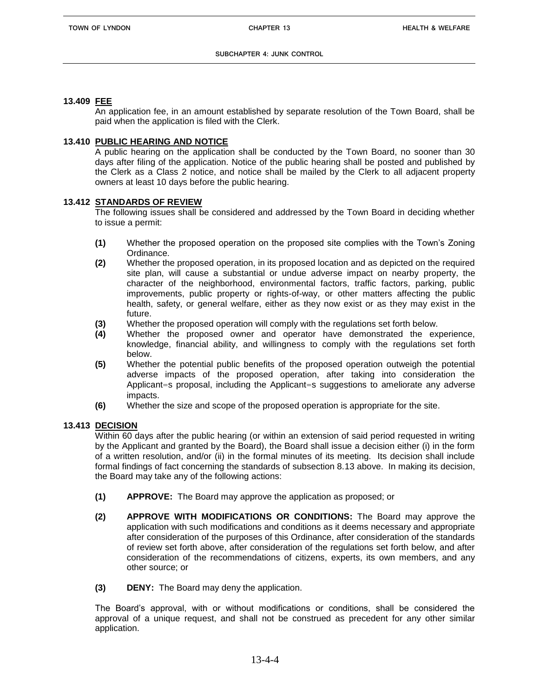# **13.409 FEE**

An application fee, in an amount established by separate resolution of the Town Board, shall be paid when the application is filed with the Clerk.

#### **13.410 PUBLIC HEARING AND NOTICE**

A public hearing on the application shall be conducted by the Town Board, no sooner than 30 days after filing of the application. Notice of the public hearing shall be posted and published by the Clerk as a Class 2 notice, and notice shall be mailed by the Clerk to all adjacent property owners at least 10 days before the public hearing.

#### **13.412 STANDARDS OF REVIEW**

The following issues shall be considered and addressed by the Town Board in deciding whether to issue a permit:

- **(1)** Whether the proposed operation on the proposed site complies with the Town's Zoning Ordinance.
- **(2)** Whether the proposed operation, in its proposed location and as depicted on the required site plan, will cause a substantial or undue adverse impact on nearby property, the character of the neighborhood, environmental factors, traffic factors, parking, public improvements, public property or rights-of-way, or other matters affecting the public health, safety, or general welfare, either as they now exist or as they may exist in the future.
- **(3)** Whether the proposed operation will comply with the regulations set forth below.
- **(4)** Whether the proposed owner and operator have demonstrated the experience, knowledge, financial ability, and willingness to comply with the regulations set forth below.
- **(5)** Whether the potential public benefits of the proposed operation outweigh the potential adverse impacts of the proposed operation, after taking into consideration the Applicant=s proposal, including the Applicant=s suggestions to ameliorate any adverse impacts.
- **(6)** Whether the size and scope of the proposed operation is appropriate for the site.

# **13.413 DECISION**

Within 60 days after the public hearing (or within an extension of said period requested in writing by the Applicant and granted by the Board), the Board shall issue a decision either (i) in the form of a written resolution, and/or (ii) in the formal minutes of its meeting. Its decision shall include formal findings of fact concerning the standards of subsection 8.13 above. In making its decision, the Board may take any of the following actions:

- **(1) APPROVE:** The Board may approve the application as proposed; or
- **(2) APPROVE WITH MODIFICATIONS OR CONDITIONS:** The Board may approve the application with such modifications and conditions as it deems necessary and appropriate after consideration of the purposes of this Ordinance, after consideration of the standards of review set forth above, after consideration of the regulations set forth below, and after consideration of the recommendations of citizens, experts, its own members, and any other source; or
- **(3) DENY:** The Board may deny the application.

The Board's approval, with or without modifications or conditions, shall be considered the approval of a unique request, and shall not be construed as precedent for any other similar application.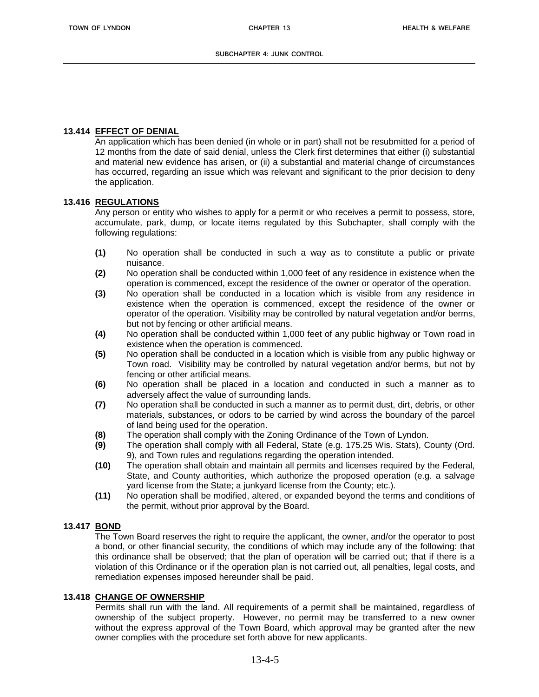### **13.414 EFFECT OF DENIAL**

An application which has been denied (in whole or in part) shall not be resubmitted for a period of 12 months from the date of said denial, unless the Clerk first determines that either (i) substantial and material new evidence has arisen, or (ii) a substantial and material change of circumstances has occurred, regarding an issue which was relevant and significant to the prior decision to deny the application.

#### **13.416 REGULATIONS**

Any person or entity who wishes to apply for a permit or who receives a permit to possess, store, accumulate, park, dump, or locate items regulated by this Subchapter, shall comply with the following regulations:

- **(1)** No operation shall be conducted in such a way as to constitute a public or private nuisance.
- **(2)** No operation shall be conducted within 1,000 feet of any residence in existence when the operation is commenced, except the residence of the owner or operator of the operation.
- **(3)** No operation shall be conducted in a location which is visible from any residence in existence when the operation is commenced, except the residence of the owner or operator of the operation. Visibility may be controlled by natural vegetation and/or berms, but not by fencing or other artificial means.
- **(4)** No operation shall be conducted within 1,000 feet of any public highway or Town road in existence when the operation is commenced.
- **(5)** No operation shall be conducted in a location which is visible from any public highway or Town road. Visibility may be controlled by natural vegetation and/or berms, but not by fencing or other artificial means.
- **(6)** No operation shall be placed in a location and conducted in such a manner as to adversely affect the value of surrounding lands.
- **(7)** No operation shall be conducted in such a manner as to permit dust, dirt, debris, or other materials, substances, or odors to be carried by wind across the boundary of the parcel of land being used for the operation.
- **(8)** The operation shall comply with the Zoning Ordinance of the Town of Lyndon.
- **(9)** The operation shall comply with all Federal, State (e.g. 175.25 Wis. Stats), County (Ord. 9), and Town rules and regulations regarding the operation intended.
- **(10)** The operation shall obtain and maintain all permits and licenses required by the Federal, State, and County authorities, which authorize the proposed operation (e.g. a salvage yard license from the State; a junkyard license from the County; etc.).
- **(11)** No operation shall be modified, altered, or expanded beyond the terms and conditions of the permit, without prior approval by the Board.

# **13.417 BOND**

The Town Board reserves the right to require the applicant, the owner, and/or the operator to post a bond, or other financial security, the conditions of which may include any of the following: that this ordinance shall be observed; that the plan of operation will be carried out; that if there is a violation of this Ordinance or if the operation plan is not carried out, all penalties, legal costs, and remediation expenses imposed hereunder shall be paid.

# **13.418 CHANGE OF OWNERSHIP**

Permits shall run with the land. All requirements of a permit shall be maintained, regardless of ownership of the subject property. However, no permit may be transferred to a new owner without the express approval of the Town Board, which approval may be granted after the new owner complies with the procedure set forth above for new applicants.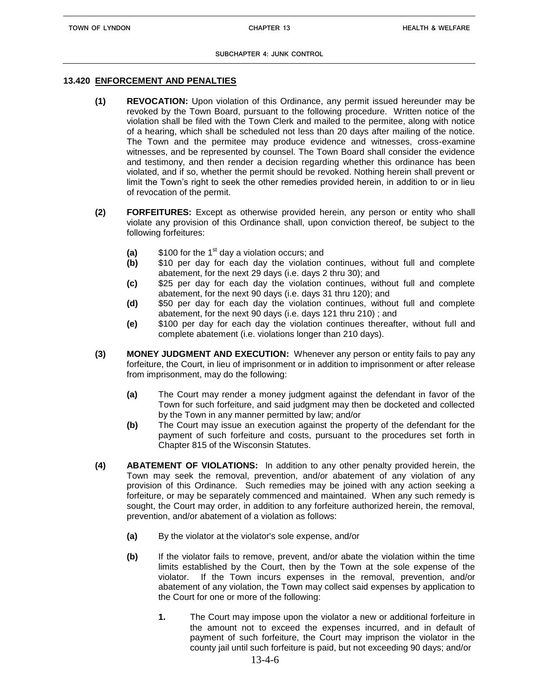#### **13.420 ENFORCEMENT AND PENALTIES**

- **(1) REVOCATION:** Upon violation of this Ordinance, any permit issued hereunder may be revoked by the Town Board, pursuant to the following procedure. Written notice of the violation shall be filed with the Town Clerk and mailed to the permitee, along with notice of a hearing, which shall be scheduled not less than 20 days after mailing of the notice. The Town and the permitee may produce evidence and witnesses, cross-examine witnesses, and be represented by counsel. The Town Board shall consider the evidence and testimony, and then render a decision regarding whether this ordinance has been violated, and if so, whether the permit should be revoked. Nothing herein shall prevent or limit the Town's right to seek the other remedies provided herein, in addition to or in lieu of revocation of the permit.
- **(2) FORFEITURES:** Except as otherwise provided herein, any person or entity who shall violate any provision of this Ordinance shall, upon conviction thereof, be subject to the following forfeitures:
	- **(a)** \$100 for the 1<sup>st</sup> day a violation occurs; and
	- **(b)** \$10 per day for each day the violation continues, without full and complete abatement, for the next 29 days (i.e. days 2 thru 30); and
	- **(c)** \$25 per day for each day the violation continues, without full and complete abatement, for the next 90 days (i.e. days 31 thru 120); and
	- **(d)** \$50 per day for each day the violation continues, without full and complete abatement, for the next 90 days (i.e. days 121 thru 210) ; and
	- **(e)** \$100 per day for each day the violation continues thereafter, without full and complete abatement (i.e. violations longer than 210 days).
- **(3) MONEY JUDGMENT AND EXECUTION:** Whenever any person or entity fails to pay any forfeiture, the Court, in lieu of imprisonment or in addition to imprisonment or after release from imprisonment, may do the following:
	- **(a)** The Court may render a money judgment against the defendant in favor of the Town for such forfeiture, and said judgment may then be docketed and collected by the Town in any manner permitted by law; and/or
	- **(b)** The Court may issue an execution against the property of the defendant for the payment of such forfeiture and costs, pursuant to the procedures set forth in Chapter 815 of the Wisconsin Statutes.
- **(4) ABATEMENT OF VIOLATIONS:** In addition to any other penalty provided herein, the Town may seek the removal, prevention, and/or abatement of any violation of any provision of this Ordinance. Such remedies may be joined with any action seeking a forfeiture, or may be separately commenced and maintained. When any such remedy is sought, the Court may order, in addition to any forfeiture authorized herein, the removal, prevention, and/or abatement of a violation as follows:
	- **(a)** By the violator at the violator's sole expense, and/or
	- **(b)** If the violator fails to remove, prevent, and/or abate the violation within the time limits established by the Court, then by the Town at the sole expense of the violator. If the Town incurs expenses in the removal, prevention, and/or abatement of any violation, the Town may collect said expenses by application to the Court for one or more of the following:
		- **1.** The Court may impose upon the violator a new or additional forfeiture in the amount not to exceed the expenses incurred, and in default of payment of such forfeiture, the Court may imprison the violator in the county jail until such forfeiture is paid, but not exceeding 90 days; and/or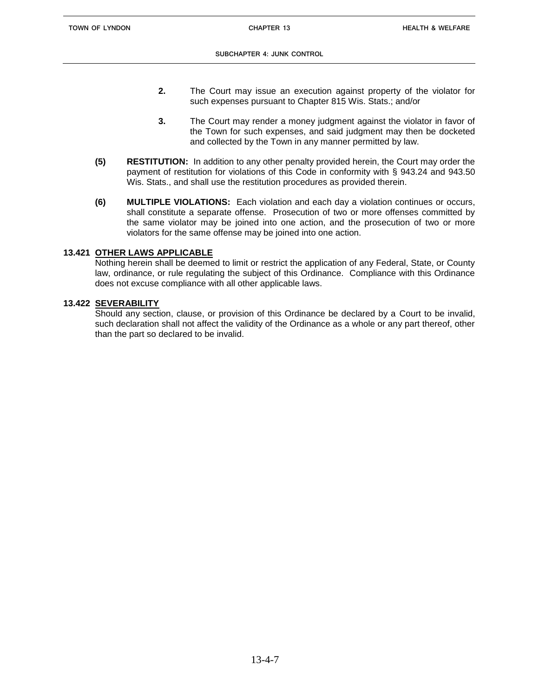- **2.** The Court may issue an execution against property of the violator for such expenses pursuant to Chapter 815 Wis. Stats.; and/or
- **3.** The Court may render a money judgment against the violator in favor of the Town for such expenses, and said judgment may then be docketed and collected by the Town in any manner permitted by law.
- **(5) RESTITUTION:** In addition to any other penalty provided herein, the Court may order the payment of restitution for violations of this Code in conformity with § 943.24 and 943.50 Wis. Stats., and shall use the restitution procedures as provided therein.
- **(6) MULTIPLE VIOLATIONS:** Each violation and each day a violation continues or occurs, shall constitute a separate offense. Prosecution of two or more offenses committed by the same violator may be joined into one action, and the prosecution of two or more violators for the same offense may be joined into one action.

# **13.421 OTHER LAWS APPLICABLE**

Nothing herein shall be deemed to limit or restrict the application of any Federal, State, or County law, ordinance, or rule regulating the subject of this Ordinance. Compliance with this Ordinance does not excuse compliance with all other applicable laws.

# **13.422 SEVERABILITY**

Should any section, clause, or provision of this Ordinance be declared by a Court to be invalid, such declaration shall not affect the validity of the Ordinance as a whole or any part thereof, other than the part so declared to be invalid.